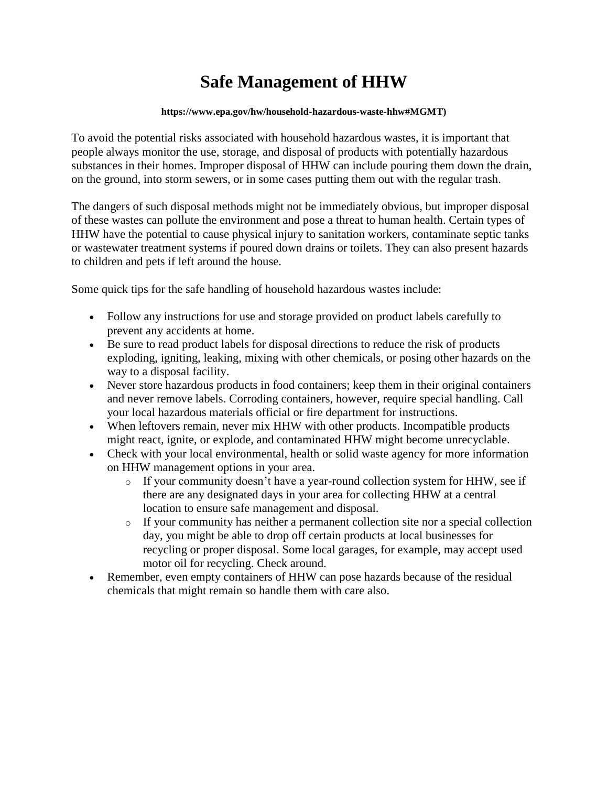## **Safe Management of HHW**

## **https://www.epa.gov/hw/household-hazardous-waste-hhw#MGMT)**

To avoid the potential risks associated with household hazardous wastes, it is important that people always monitor the use, storage, and disposal of products with potentially hazardous substances in their homes. Improper disposal of HHW can include pouring them down the drain, on the ground, into storm sewers, or in some cases putting them out with the regular trash.

The dangers of such disposal methods might not be immediately obvious, but improper disposal of these wastes can pollute the environment and pose a threat to human health. Certain types of HHW have the potential to cause physical injury to sanitation workers, contaminate septic tanks or wastewater treatment systems if poured down drains or toilets. They can also present hazards to children and pets if left around the house.

Some quick tips for the safe handling of household hazardous wastes include:

- Follow any instructions for use and storage provided on product labels carefully to prevent any accidents at home.
- Be sure to read product labels for disposal directions to reduce the risk of products exploding, igniting, leaking, mixing with other chemicals, or posing other hazards on the way to a disposal facility.
- Never store hazardous products in food containers; keep them in their original containers and never remove labels. Corroding containers, however, require special handling. Call your local hazardous materials official or fire department for instructions.
- When leftovers remain, never mix HHW with other products. Incompatible products might react, ignite, or explode, and contaminated HHW might become unrecyclable.
- Check with your local environmental, health or solid waste agency for more information on HHW management options in your area.
	- o If your community doesn't have a year-round collection system for HHW, see if there are any designated days in your area for collecting HHW at a central location to ensure safe management and disposal.
	- $\circ$  If your community has neither a permanent collection site nor a special collection day, you might be able to drop off certain products at local businesses for recycling or proper disposal. Some local garages, for example, may accept used motor oil for recycling. Check around.
- Remember, even empty containers of HHW can pose hazards because of the residual chemicals that might remain so handle them with care also.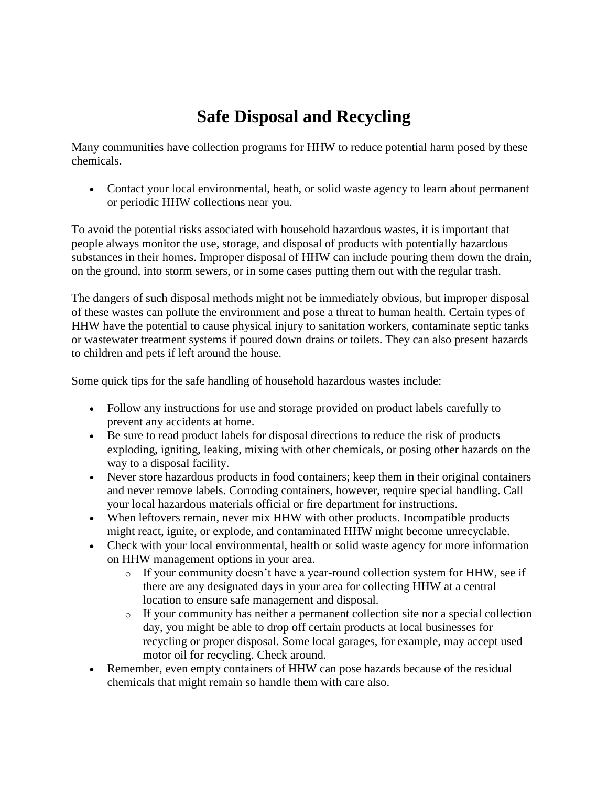## **Safe Disposal and Recycling**

Many communities have collection programs for HHW to reduce potential harm posed by these chemicals.

• Contact your [local environmental, heath, or solid waste agency t](https://www.epa.gov/hwgenerators/links-hazardous-waste-programs-and-us-state-environmental-agencies)o learn about permanent or periodic HHW collections near you.

To avoid the potential risks associated with household hazardous wastes, it is important that people always monitor the use, storage, and disposal of products with potentially hazardous substances in their homes. Improper disposal of HHW can include pouring them down the drain, on the ground, into storm sewers, or in some cases putting them out with the regular trash.

The dangers of such disposal methods might not be immediately obvious, but improper disposal of these wastes can pollute the environment and pose a threat to human health. Certain types of HHW have the potential to cause physical injury to sanitation workers, contaminate septic tanks or wastewater treatment systems if poured down drains or toilets. They can also present hazards to children and pets if left around the house.

Some quick tips for the safe handling of household hazardous wastes include:

- Follow any instructions for use and storage provided on product labels carefully to prevent any accidents at home.
- Be sure to read product labels for disposal directions to reduce the risk of products exploding, igniting, leaking, mixing with other chemicals, or posing other hazards on the way to a disposal facility.
- Never store hazardous products in food containers; keep them in their original containers and never remove labels. Corroding containers, however, require special handling. Call your local hazardous materials official or fire department for instructions.
- When leftovers remain, never mix HHW with other products. Incompatible products might react, ignite, or explode, and contaminated HHW might become unrecyclable.
- Check with your local environmental, health or solid waste agency for more information on HHW management options in your area.
	- o If your community doesn't have a year-round collection system for HHW, see if there are any designated days in your area for collecting HHW at a central location to ensure safe management and disposal.
	- $\circ$  If your community has neither a permanent collection site nor a special collection day, you might be able to drop off certain products at local businesses for recycling or proper disposal. Some local garages, for example, may accept used motor oil for recycling. Check around.
- Remember, even empty containers of HHW can pose hazards because of the residual chemicals that might remain so handle them with care also.